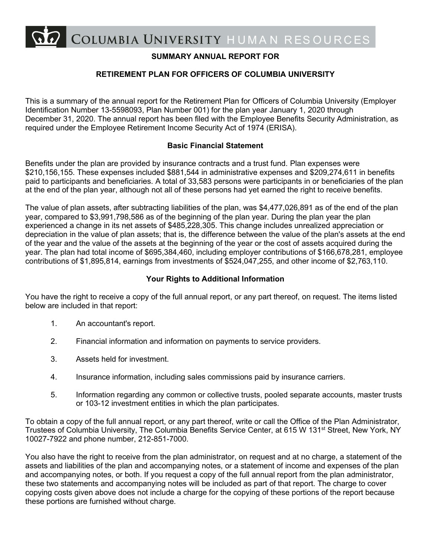COLUMBIA UNIVERSITY HUMAN RESOURCES

# **SUMMARY ANNUAL REPORT FOR**

# **RETIREMENT PLAN FOR OFFICERS OF COLUMBIA UNIVERSITY**

This is a summary of the annual report for the Retirement Plan for Officers of Columbia University (Employer Identification Number 13-5598093, Plan Number 001) for the plan year January 1, 2020 through December 31, 2020. The annual report has been filed with the Employee Benefits Security Administration, as required under the Employee Retirement Income Security Act of 1974 (ERISA).

#### **Basic Financial Statement**

Benefits under the plan are provided by insurance contracts and a trust fund. Plan expenses were \$210,156,155. These expenses included \$881,544 in administrative expenses and \$209,274,611 in benefits paid to participants and beneficiaries. A total of 33,583 persons were participants in or beneficiaries of the plan at the end of the plan year, although not all of these persons had yet earned the right to receive benefits.

The value of plan assets, after subtracting liabilities of the plan, was \$4,477,026,891 as of the end of the plan year, compared to \$3,991,798,586 as of the beginning of the plan year. During the plan year the plan experienced a change in its net assets of \$485,228,305. This change includes unrealized appreciation or depreciation in the value of plan assets; that is, the difference between the value of the plan's assets at the end of the year and the value of the assets at the beginning of the year or the cost of assets acquired during the year. The plan had total income of \$695,384,460, including employer contributions of \$166,678,281, employee contributions of \$1,895,814, earnings from investments of \$524,047,255, and other income of \$2,763,110.

#### **Your Rights to Additional Information**

You have the right to receive a copy of the full annual report, or any part thereof, on request. The items listed below are included in that report:

- 1. An accountant's report.
- 2. Financial information and information on payments to service providers.
- 3. Assets held for investment.
- 4. Insurance information, including sales commissions paid by insurance carriers.
- 5. Information regarding any common or collective trusts, pooled separate accounts, master trusts or 103-12 investment entities in which the plan participates.

To obtain a copy of the full annual report, or any part thereof, write or call the Office of the Plan Administrator, Trustees of Columbia University, The Columbia Benefits Service Center, at 615 W 131<sup>st</sup> Street, New York, NY 10027-7922 and phone number, 212-851-7000.

You also have the right to receive from the plan administrator, on request and at no charge, a statement of the assets and liabilities of the plan and accompanying notes, or a statement of income and expenses of the plan and accompanying notes, or both. If you request a copy of the full annual report from the plan administrator, these two statements and accompanying notes will be included as part of that report. The charge to cover copying costs given above does not include a charge for the copying of these portions of the report because these portions are furnished without charge.